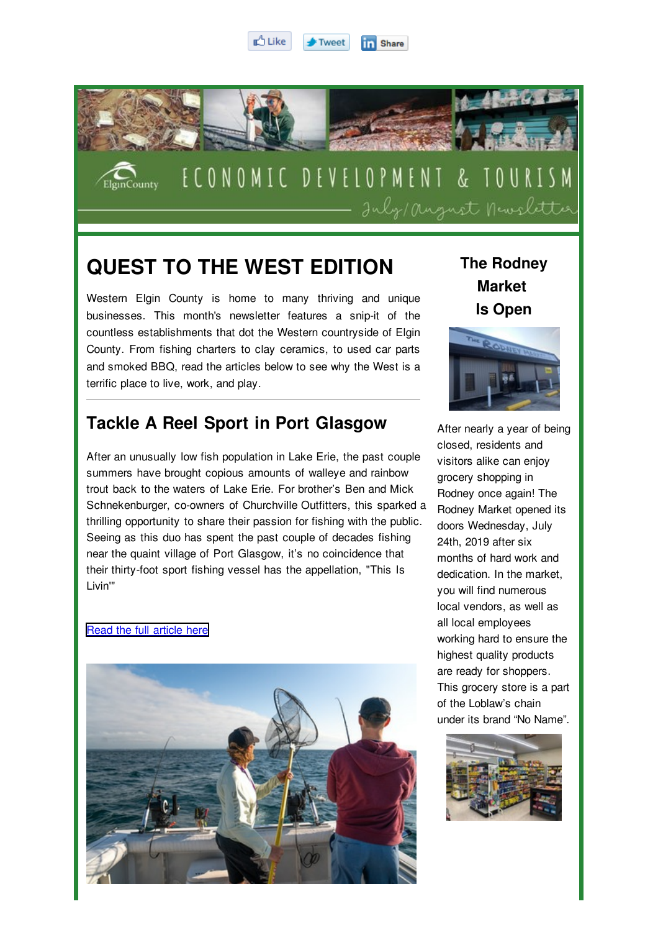



## **QUEST TO THE WEST EDITION**

Western Elgin County is home to many thriving and unique businesses. This month's newsletter features a snip-it of the countless establishments that dot the Western countryside of Elgin County. From fishing charters to clay ceramics, to used car parts and smoked BBQ, read the articles below to see why the West is a terrific place to live, work, and play.

## **Tackle A Reel Sport in Port Glasgow**

After an unusually low fish population in Lake Erie, the past couple summers have brought copious amounts of walleye and rainbow trout back to the waters of Lake Erie. For brother's Ben and Mick Schnekenburger, co-owners of Churchville Outfitters, this sparked a thrilling opportunity to share their passion for fishing with the public. Seeing as this duo has spent the past couple of decades fishing near the quaint village of Port Glasgow, it's no coincidence that their thirty-foot sport fishing vessel has the appellation, "This Is Livin'"

## [Read the full article here](http://progressivebynature.com/blogs/2019/08/tackle-reel-sport-port-glasgow)



**The Rodney Market Is Open**



After nearly a year of being closed, residents and visitors alike can enjoy grocery shopping in Rodney once again! The Rodney Market opened its doors Wednesday, July 24th, 2019 after six months of hard work and dedication. In the market, you will find numerous local vendors, as well as all local employees working hard to ensure the highest quality products are ready for shoppers. This grocery store is a part of the Loblaw's chain under its brand "No Name".